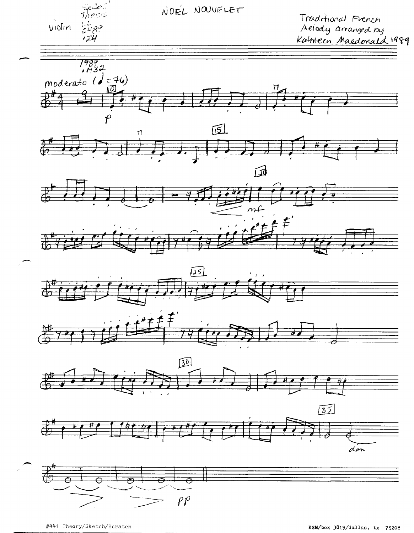

#441 Theory/Sketch/Scratch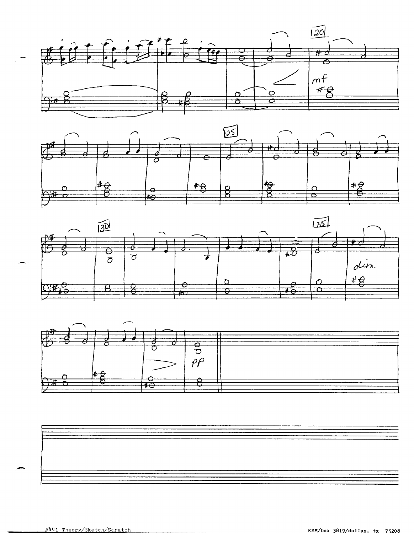